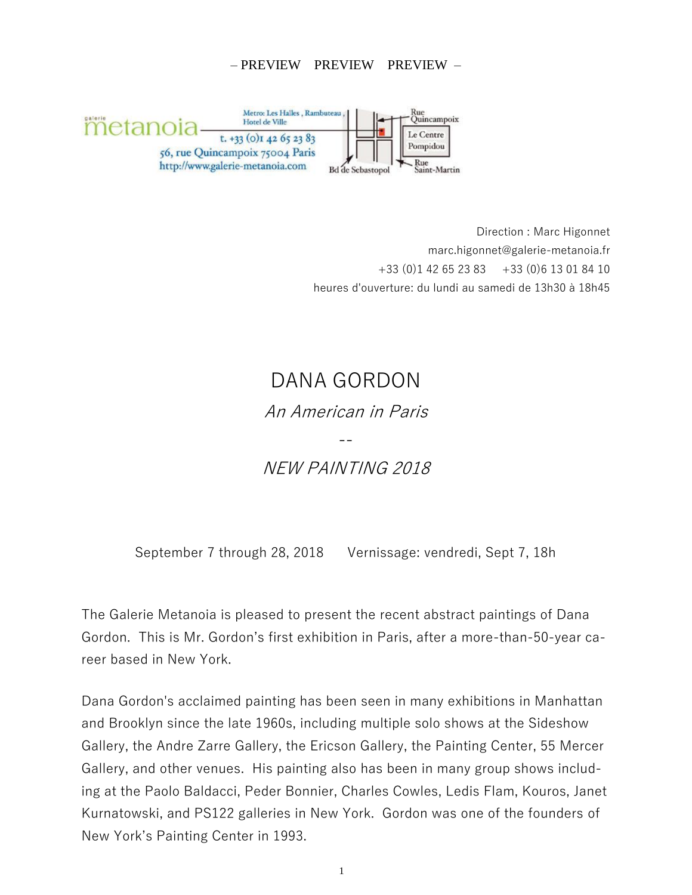## – PREVIEW PREVIEW PREVIEW –



 Direction : Marc Higonnet marc.higonnet@galerie-metanoia.fr  $+33$  (0)1 42 65 23 83  $+33$  (0)6 13 01 84 10 heures d'ouverture: du lundi au samedi de 13h30 à 18h45

## DANA GORDON An American in Paris -- NEW PAINTING 2018

September 7 through 28, 2018 Vernissage: vendredi, Sept 7, 18h

The Galerie Metanoia is pleased to present the recent abstract paintings of Dana Gordon. This is Mr. Gordon's first exhibition in Paris, after a more-than-50-year career based in New York.

Dana Gordon's acclaimed painting has been seen in many exhibitions in Manhattan and Brooklyn since the late 1960s, including multiple solo shows at the Sideshow Gallery, the Andre Zarre Gallery, the Ericson Gallery, the Painting Center, 55 Mercer Gallery, and other venues. His painting also has been in many group shows including at the Paolo Baldacci, Peder Bonnier, Charles Cowles, Ledis Flam, Kouros, Janet Kurnatowski, and PS122 galleries in New York. Gordon was one of the founders of New York's Painting Center in 1993.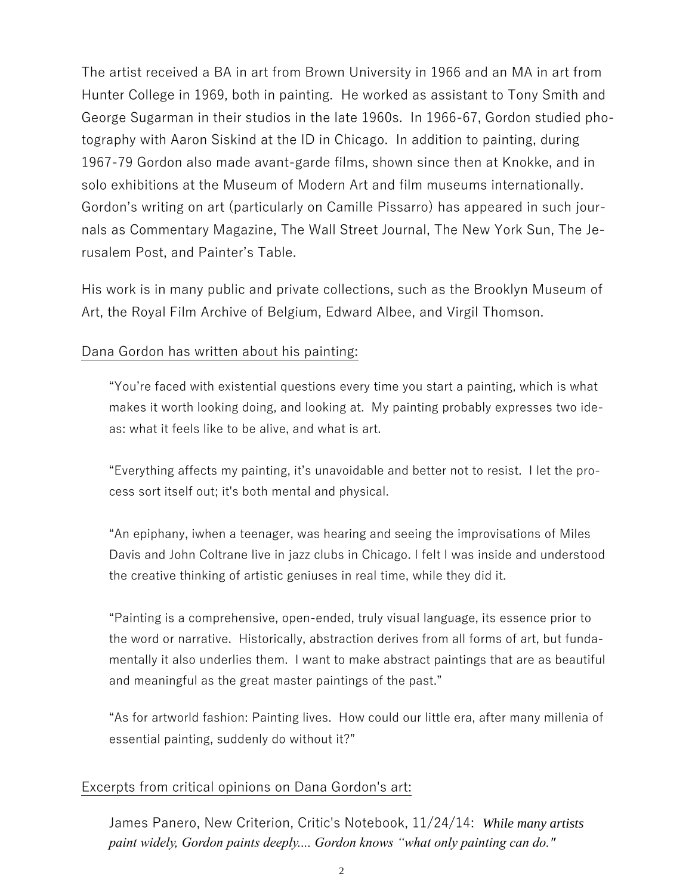The artist received a BA in art from Brown University in 1966 and an MA in art from Hunter College in 1969, both in painting. He worked as assistant to Tony Smith and George Sugarman in their studios in the late 1960s. In 1966-67, Gordon studied photography with Aaron Siskind at the ID in Chicago. In addition to painting, during 1967-79 Gordon also made avant-garde films, shown since then at Knokke, and in solo exhibitions at the Museum of Modern Art and film museums internationally. Gordon's writing on art (particularly on Camille Pissarro) has appeared in such journals as Commentary Magazine, The Wall Street Journal, The New York Sun, The Jerusalem Post, and Painter's Table.

His work is in many public and private collections, such as the Brooklyn Museum of Art, the Royal Film Archive of Belgium, Edward Albee, and Virgil Thomson.

## Dana Gordon has written about his painting:

"You're faced with existential questions every time you start a painting, which is what makes it worth looking doing, and looking at. My painting probably expresses two ideas: what it feels like to be alive, and what is art.

"Everything affects my painting, it's unavoidable and better not to resist. I let the process sort itself out; it's both mental and physical.

"An epiphany, iwhen a teenager, was hearing and seeing the improvisations of Miles Davis and John Coltrane live in jazz clubs in Chicago. I felt I was inside and understood the creative thinking of artistic geniuses in real time, while they did it.

"Painting is a comprehensive, open-ended, truly visual language, its essence prior to the word or narrative. Historically, abstraction derives from all forms of art, but fundamentally it also underlies them. I want to make abstract paintings that are as beautiful and meaningful as the great master paintings of the past."

"As for artworld fashion: Painting lives. How could our little era, after many millenia of essential painting, suddenly do without it?"

## Excerpts from critical opinions on Dana Gordon's art:

James Panero, New Criterion, Critic's Notebook, 11/24/14: *While many artists paint widely, Gordon paints deeply.... Gordon knows "what only painting can do."*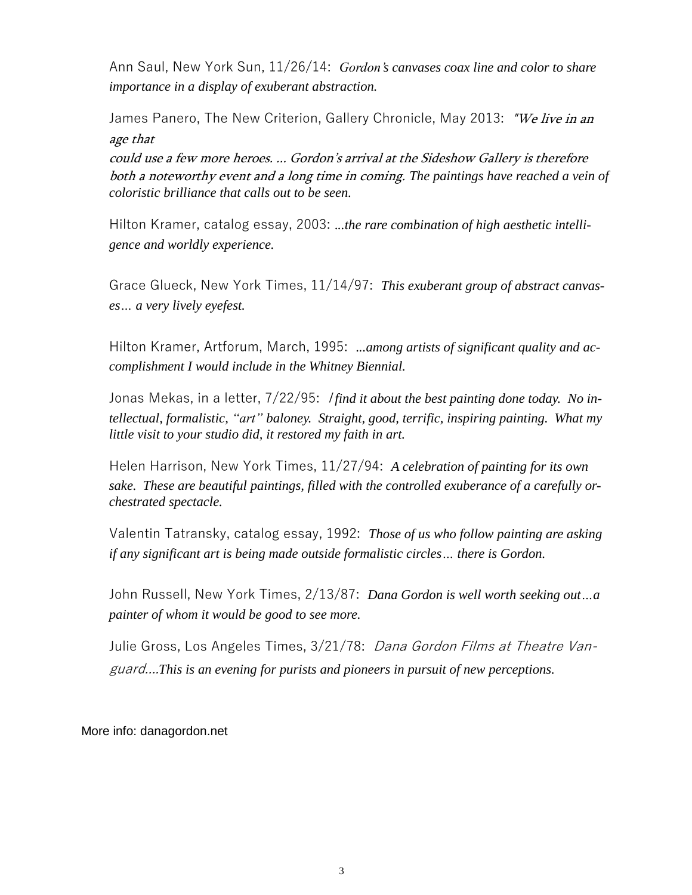Ann Saul, New York Sun, 11/26/14: *Gordon's canvases coax line and color to share importance in a display of exuberant abstraction.* 

James Panero, The New Criterion, Gallery Chronicle, May 2013: "We live in an age that

could use a few more heroes. ... Gordon's arrival at the Sideshow Gallery is therefore both a noteworthy event and a long time in coming. *The paintings have reached a vein of coloristic brilliance that calls out to be seen.* 

Hilton Kramer, catalog essay, 2003: .*..the rare combination of high aesthetic intelligence and worldly experience.*

Grace Glueck, New York Times, 11/14/97: *This exuberant group of abstract canvases… a very lively eyefest.* 

Hilton Kramer, Artforum, March, 1995: .*..among artists of significant quality and accomplishment I would include in the Whitney Biennial.*

Jonas Mekas, in a letter, 7/22/95: <sup>I</sup> *find it about the best painting done today. No intellectual, formalistic, "art" baloney. Straight, good, terrific, inspiring painting. What my little visit to your studio did, it restored my faith in art.*

Helen Harrison, New York Times, 11/27/94: *A celebration of painting for its own sake. These are beautiful paintings, filled with the controlled exuberance of a carefully orchestrated spectacle.* 

Valentin Tatransky, catalog essay, 1992: *Those of us who follow painting are asking if any significant art is being made outside formalistic circles… there is Gordon.* 

John Russell, New York Times, 2/13/87: *Dana Gordon is well worth seeking out…a painter of whom it would be good to see more.*

Julie Gross, Los Angeles Times, 3/21/78: Dana Gordon Films at Theatre Vanguard....*This is an evening for purists and pioneers in pursuit of new perceptions.*

More info: danagordon.net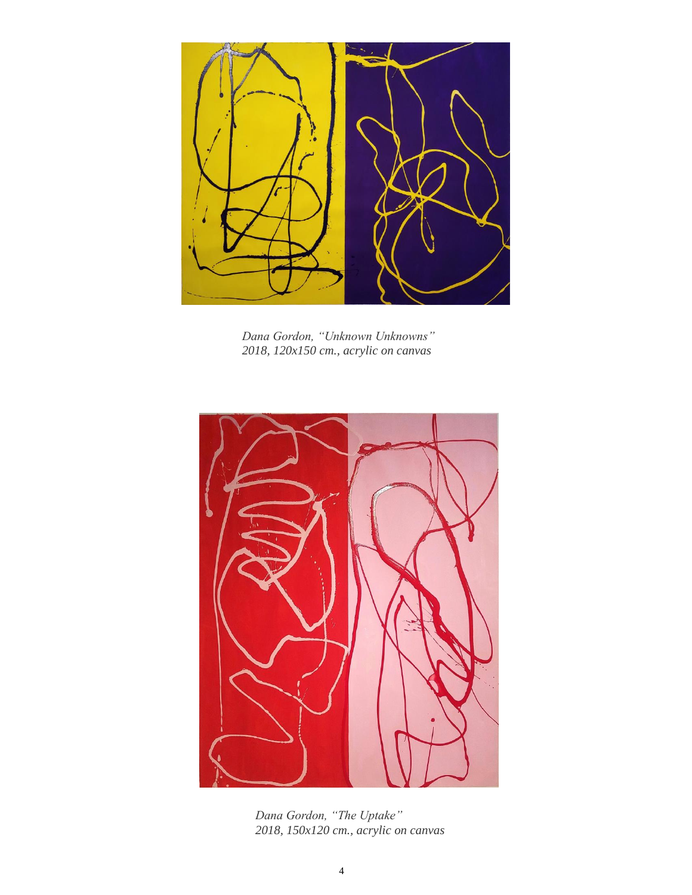

*Dana Gordon, "Unknown Unknowns" 2018, 120x150 cm., acrylic on canvas*



*Dana Gordon, "The Uptake" 2018, 150x120 cm., acrylic on canvas*